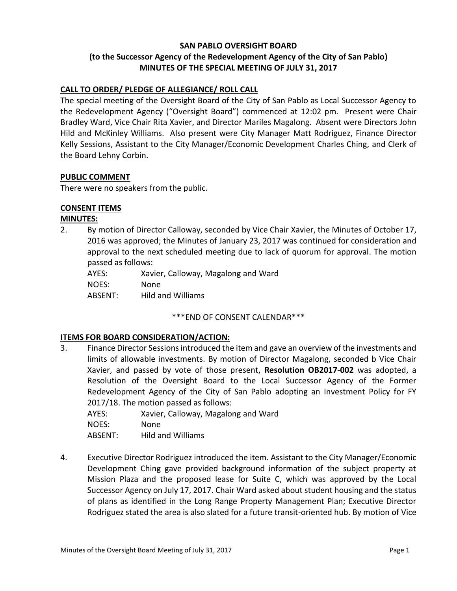# **SAN PABLO OVERSIGHT BOARD (to the Successor Agency of the Redevelopment Agency of the City of San Pablo) MINUTES OF THE SPECIAL MEETING OF JULY 31, 2017**

## **CALL TO ORDER/ PLEDGE OF ALLEGIANCE/ ROLL CALL**

The special meeting of the Oversight Board of the City of San Pablo as Local Successor Agency to the Redevelopment Agency ("Oversight Board") commenced at 12:02 pm. Present were Chair Bradley Ward, Vice Chair Rita Xavier, and Director Mariles Magalong. Absent were Directors John Hild and McKinley Williams. Also present were City Manager Matt Rodriguez, Finance Director Kelly Sessions, Assistant to the City Manager/Economic Development Charles Ching, and Clerk of the Board Lehny Corbin.

### **PUBLIC COMMENT**

There were no speakers from the public.

### **CONSENT ITEMS**

### **MINUTES:**

2. By motion of Director Calloway, seconded by Vice Chair Xavier, the Minutes of October 17, 2016 was approved; the Minutes of January 23, 2017 was continued for consideration and approval to the next scheduled meeting due to lack of quorum for approval. The motion passed as follows:

| AYES:   | Xavier, Calloway, Magalong and Ward |
|---------|-------------------------------------|
| NOES:   | None.                               |
| ABSENT: | Hild and Williams                   |

### \*\*\*END OF CONSENT CALENDAR\*\*\*

### **ITEMS FOR BOARD CONSIDERATION/ACTION:**

3. Finance Director Sessions introduced the item and gave an overview of the investments and limits of allowable investments. By motion of Director Magalong, seconded b Vice Chair Xavier, and passed by vote of those present, **Resolution OB2017-002** was adopted, a Resolution of the Oversight Board to the Local Successor Agency of the Former Redevelopment Agency of the City of San Pablo adopting an Investment Policy for FY 2017/18. The motion passed as follows:

| AYES: | Xavier, Calloway, Magalong and Ward |  |  |
|-------|-------------------------------------|--|--|
|       |                                     |  |  |

NOES: None

ABSENT: Hild and Williams

4. Executive Director Rodriguez introduced the item. Assistant to the City Manager/Economic Development Ching gave provided background information of the subject property at Mission Plaza and the proposed lease for Suite C, which was approved by the Local Successor Agency on July 17, 2017. Chair Ward asked about student housing and the status of plans as identified in the Long Range Property Management Plan; Executive Director Rodriguez stated the area is also slated for a future transit-oriented hub. By motion of Vice